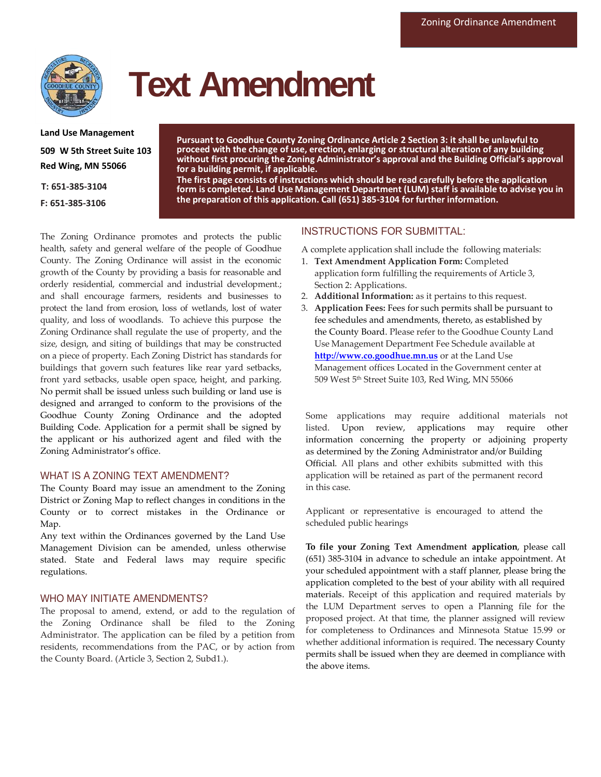

# **Text Amendment**

**Land Use Management 509 W 5th Street Suite 103 Red Wing, MN 55066**

**T: 651-385-3104**

**F: 651-385-3106**

**Pursuant to Goodhue County Zoning Ordinance Article 2 Section 3: it shall be unlawful to proceed with the change of use, erection, enlarging or structural alteration of any building without first procuring the Zoning Administrator's approval and the Building Official's approval for a building permit, if applicable.**

**The first page consists of instructions which should be read carefully before the application form is completed. Land Use Management Department (LUM) staff is available to advise you in the preparation of this application. Call (651) 385-3104 for further information.**

The Zoning Ordinance promotes and protects the public health, safety and general welfare of the people of Goodhue County. The Zoning Ordinance will assist in the economic growth of the County by providing a basis for reasonable and orderly residential, commercial and industrial development.; and shall encourage farmers, residents and businesses to protect the land from erosion, loss of wetlands, lost of water quality, and loss of woodlands. To achieve this purpose the Zoning Ordinance shall regulate the use of property, and the size, design, and siting of buildings that may be constructed on a piece of property. Each Zoning District has standards for buildings that govern such features like rear yard setbacks, front yard setbacks, usable open space, height, and parking. No permit shall be issued unless such building or land use is designed and arranged to conform to the provisions of the Goodhue County Zoning Ordinance and the adopted Building Code. Application for a permit shall be signed by the applicant or his authorized agent and filed with the Zoning Administrator's office.

### WHAT IS A ZONING TEXT AMENDMENT?

The County Board may issue an amendment to the Zoning District or Zoning Map to reflect changes in conditions in the County or to correct mistakes in the Ordinance or Map.

Any text within the Ordinances governed by the Land Use Management Division can be amended, unless otherwise stated. State and Federal laws may require specific regulations.

### WHO MAY INITIATE AMENDMENTS?

The proposal to amend, extend, or add to the regulation of the Zoning Ordinance shall be filed to the Zoning Administrator. The application can be filed by a petition from residents, recommendations from the PAC, or by action from the County Board. (Article 3, Section 2, Subd1.).

# INSTRUCTIONS FOR SUBMITTAL:

A complete application shall include the following materials:

- 1. **Text Amendment Application Form:** Completed application form fulfilling the requirements of Article 3, Section 2: Applications.
- 2. **Additional Information:** as it pertains to this request.
- 3. **Application Fees:** Fees for such permits shall be pursuant to fee schedules and amendments, thereto, as established by the County Board. Please refer to the Goodhue County Land Use Management Department Fee Schedule available at **http://www.co.goodhue.mn.us** or at the Land Use Management offices Located in the Government center at 509 West 5 th Street Suite 103, Red Wing, MN 55066

Some applications may require additional materials not listed. Upon review, applications may require other information concerning the property or adjoining property as determined by the Zoning Administrator and/or Building Official. All plans and other exhibits submitted with this application will be retained as part of the permanent record in this case.

Applicant or representative is encouraged to attend the scheduled public hearings

**To file your Zoning Text Amendment application**, please call (651) 385-3104 in advance to schedule an intake appointment. At your scheduled appointment with a staff planner, please bring the application completed to the best of your ability with all required materials. Receipt of this application and required materials by the LUM Department serves to open a Planning file for the proposed project. At that time, the planner assigned will review for completeness to Ordinances and Minnesota Statue 15.99 or whether additional information is required. The necessary County permits shall be issued when they are deemed in compliance with the above items.